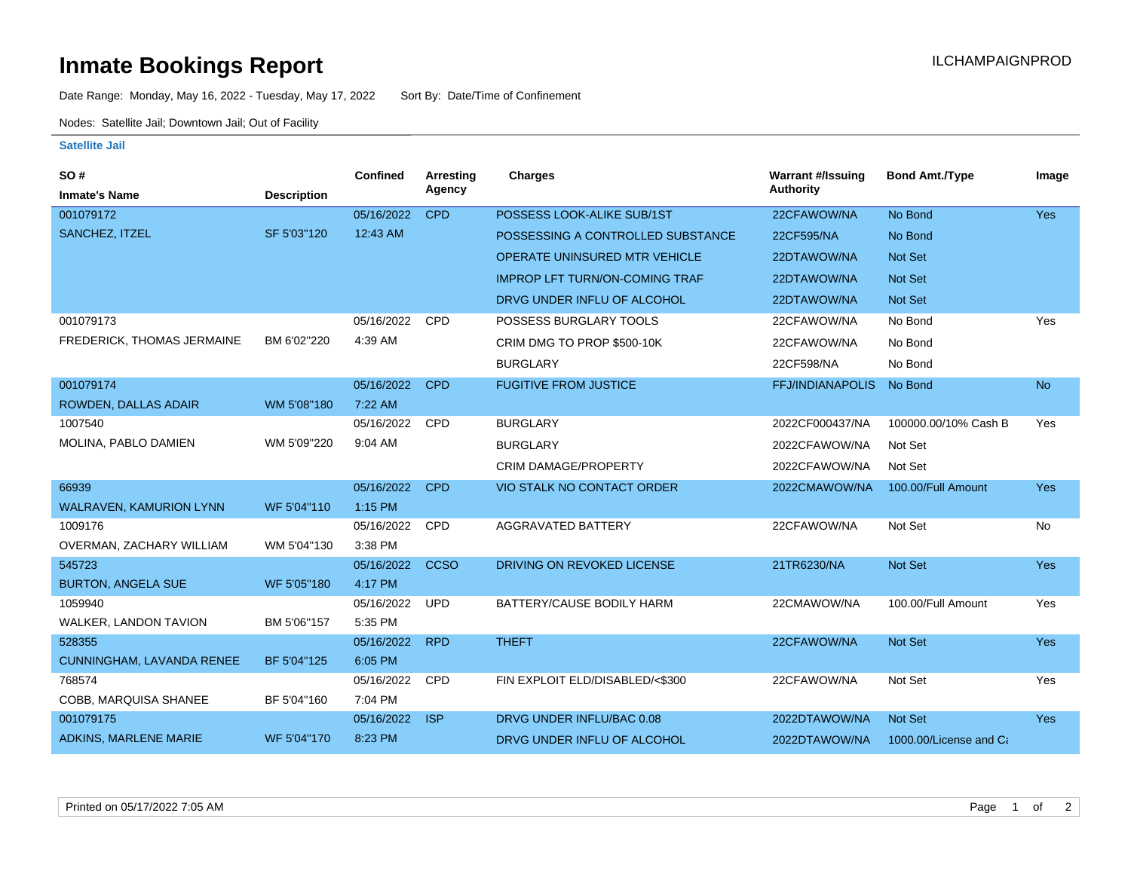## **Inmate Bookings Report International Contract Contract Contract Contract Contract Contract Contract Contract Contract Contract Contract Contract Contract Contract Contract Contract Contract Contract Contract Contract Co**

Date Range: Monday, May 16, 2022 - Tuesday, May 17, 2022 Sort By: Date/Time of Confinement

Nodes: Satellite Jail; Downtown Jail; Out of Facility

## **Satellite Jail**

| SO#                        |                    | <b>Confined</b> | <b>Arresting</b> | <b>Charges</b>                        | <b>Warrant #/Issuing</b> | <b>Bond Amt./Type</b>  | Image      |
|----------------------------|--------------------|-----------------|------------------|---------------------------------------|--------------------------|------------------------|------------|
| <b>Inmate's Name</b>       | <b>Description</b> |                 | Agency           |                                       | <b>Authority</b>         |                        |            |
| 001079172                  |                    | 05/16/2022      | <b>CPD</b>       | POSSESS LOOK-ALIKE SUB/1ST            | 22CFAWOW/NA              | No Bond                | <b>Yes</b> |
| SANCHEZ, ITZEL             | SF 5'03"120        | 12:43 AM        |                  | POSSESSING A CONTROLLED SUBSTANCE     | 22CF595/NA               | No Bond                |            |
|                            |                    |                 |                  | OPERATE UNINSURED MTR VEHICLE         | 22DTAWOW/NA              | Not Set                |            |
|                            |                    |                 |                  | <b>IMPROP LFT TURN/ON-COMING TRAF</b> | 22DTAWOW/NA              | <b>Not Set</b>         |            |
|                            |                    |                 |                  | DRVG UNDER INFLU OF ALCOHOL           | 22DTAWOW/NA              | <b>Not Set</b>         |            |
| 001079173                  |                    | 05/16/2022      | CPD              | POSSESS BURGLARY TOOLS                | 22CFAWOW/NA              | No Bond                | Yes        |
| FREDERICK, THOMAS JERMAINE | BM 6'02"220        | 4:39 AM         |                  | CRIM DMG TO PROP \$500-10K            | 22CFAWOW/NA              | No Bond                |            |
|                            |                    |                 |                  | <b>BURGLARY</b>                       | 22CF598/NA               | No Bond                |            |
| 001079174                  |                    | 05/16/2022      | <b>CPD</b>       | <b>FUGITIVE FROM JUSTICE</b>          | <b>FFJ/INDIANAPOLIS</b>  | No Bond                | <b>No</b>  |
| ROWDEN, DALLAS ADAIR       | WM 5'08"180        | 7:22 AM         |                  |                                       |                          |                        |            |
| 1007540                    |                    | 05/16/2022      | <b>CPD</b>       | <b>BURGLARY</b>                       | 2022CF000437/NA          | 100000.00/10% Cash B   | Yes        |
| MOLINA, PABLO DAMIEN       | WM 5'09"220        | 9:04 AM         |                  | <b>BURGLARY</b>                       | 2022CFAWOW/NA            | Not Set                |            |
|                            |                    |                 |                  | <b>CRIM DAMAGE/PROPERTY</b>           | 2022CFAWOW/NA            | Not Set                |            |
| 66939                      |                    | 05/16/2022      | <b>CPD</b>       | <b>VIO STALK NO CONTACT ORDER</b>     | 2022CMAWOW/NA            | 100.00/Full Amount     | Yes        |
| WALRAVEN, KAMURION LYNN    | WF 5'04"110        | 1:15 PM         |                  |                                       |                          |                        |            |
| 1009176                    |                    | 05/16/2022      | CPD              | <b>AGGRAVATED BATTERY</b>             | 22CFAWOW/NA              | Not Set                | No         |
| OVERMAN, ZACHARY WILLIAM   | WM 5'04"130        | 3:38 PM         |                  |                                       |                          |                        |            |
| 545723                     |                    | 05/16/2022      | <b>CCSO</b>      | DRIVING ON REVOKED LICENSE            | 21TR6230/NA              | <b>Not Set</b>         | Yes        |
| <b>BURTON, ANGELA SUE</b>  | WF 5'05"180        | 4:17 PM         |                  |                                       |                          |                        |            |
| 1059940                    |                    | 05/16/2022      | <b>UPD</b>       | BATTERY/CAUSE BODILY HARM             | 22CMAWOW/NA              | 100.00/Full Amount     | Yes        |
| WALKER, LANDON TAVION      | BM 5'06"157        | 5:35 PM         |                  |                                       |                          |                        |            |
| 528355                     |                    | 05/16/2022      | <b>RPD</b>       | <b>THEFT</b>                          | 22CFAWOW/NA              | Not Set                | Yes        |
| CUNNINGHAM, LAVANDA RENEE  | BF 5'04"125        | 6:05 PM         |                  |                                       |                          |                        |            |
| 768574                     |                    | 05/16/2022      | <b>CPD</b>       | FIN EXPLOIT ELD/DISABLED/<\$300       | 22CFAWOW/NA              | Not Set                | Yes        |
| COBB, MARQUISA SHANEE      | BF 5'04"160        | 7:04 PM         |                  |                                       |                          |                        |            |
| 001079175                  |                    | 05/16/2022      | <b>ISP</b>       | DRVG UNDER INFLU/BAC 0.08             | 2022DTAWOW/NA            | Not Set                | Yes        |
| ADKINS, MARLENE MARIE      | WF 5'04"170        | 8:23 PM         |                  | DRVG UNDER INFLU OF ALCOHOL           | 2022DTAWOW/NA            | 1000.00/License and Ca |            |